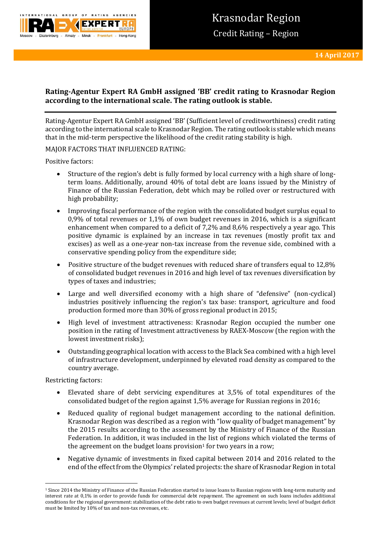

# **Rating-Agentur Expert RA GmbH assigned 'BB' credit rating to Krasnodar Region according to the international scale. The rating outlook is stable.**

Rating-Agentur Expert RA GmbH assigned 'BB' (Sufficient level of creditworthiness) credit rating according to the international scale to Krasnodar Region. The rating outlook is stable which means that in the mid-term perspective the likelihood of the credit rating stability is high.

## MAJOR FACTORS THAT INFLUENCED RATING:

Positive factors:

- Structure of the region's debt is fully formed by local currency with a high share of longterm loans. Additionally, around 40% of total debt are loans issued by the Ministry of Finance of the Russian Federation, debt which may be rolled over or restructured with high probability;
- Improving fiscal performance of the region with the consolidated budget surplus equal to 0,9% of total revenues or 1,1% of own budget revenues in 2016, which is a significant enhancement when compared to a deficit of 7,2% and 8,6% respectively a year ago. This positive dynamic is explained by an increase in tax revenues (mostly profit tax and excises) as well as a one-year non-tax increase from the revenue side, combined with a conservative spending policy from the expenditure side;
- Positive structure of the budget revenues with reduced share of transfers equal to 12,8% of consolidated budget revenues in 2016 and high level of tax revenues diversification by types of taxes and industries;
- Large and well diversified economy with a high share of "defensive" (non-cyclical) industries positively influencing the region's tax base: transport, agriculture and food production formed more than 30% of gross regional product in 2015;
- High level of investment attractiveness: Krasnodar Region occupied the number one position in the rating of Investment attractiveness by RAEX-Moscow (the region with the lowest investment risks);
- Outstanding geographical location with access to the Black Sea combined with a high level of infrastructure development, underpinned by elevated road density as compared to the country average.

Restricting factors:

**.** 

- Elevated share of debt servicing expenditures at 3,5% of total expenditures of the consolidated budget of the region against 1,5% average for Russian regions in 2016;
- Reduced quality of regional budget management according to the national definition. Krasnodar Region was described as a region with "low quality of budget management" by the 2015 results according to the assessment by the Ministry of Finance of the Russian Federation. In addition, it was included in the list of regions which violated the terms of the agreement on the budget loans provision<sup>1</sup> for two years in a row;
- Negative dynamic of investments in fixed capital between 2014 and 2016 related to the end of the effect from the Olympics' related projects: the share of Krasnodar Region in total

<sup>&</sup>lt;sup>1</sup> Since 2014 the Ministry of Finance of the Russian Federation started to issue loans to Russian regions with long-term maturity and interest rate at 0,1% in order to provide funds for commercial debt repayment. The agreement on such loans includes additional conditions for the regional government: stabilization of the debt ratio to own budget revenues at current levels; level of budget deficit must be limited by 10% of tax and non-tax revenues, etc.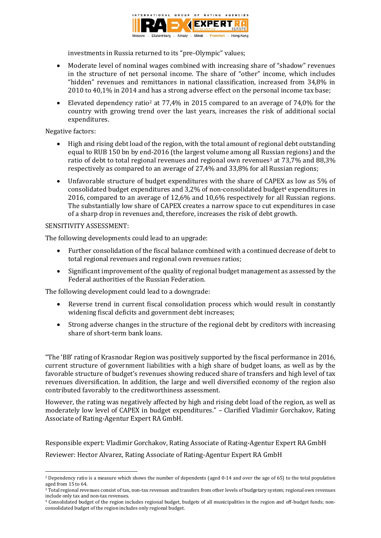

investments in Russia returned to its "pre-Olympic" values;

- Moderate level of nominal wages combined with increasing share of "shadow" revenues in the structure of net personal income. The share of "other" income, which includes "hidden" revenues and remittances in national classification, increased from 34,8% in 2010 to 40,1% in 2014 and has a strong adverse effect on the personal income tax base;
- Elevated dependency ratio<sup>2</sup> at 77,4% in 2015 compared to an average of 74,0% for the country with growing trend over the last years, increases the risk of additional social expenditures.

## Negative factors:

- High and rising debt load of the region, with the total amount of regional debt outstanding equal to RUB 150 bn by end-2016 (the largest volume among all Russian regions) and the ratio of debt to total regional revenues and regional own revenues<sup>3</sup> at 73,7% and 88,3% respectively as compared to an average of 27,4% and 33,8% for all Russian regions;
- Unfavorable structure of budget expenditures with the share of CAPEX as low as 5% of consolidated budget expenditures and 3,2% of non-consolidated budget<sup>4</sup> expenditures in 2016, compared to an average of 12,6% and 10,6% respectively for all Russian regions. The substantially low share of CAPEX creates a narrow space to cut expenditures in case of a sharp drop in revenues and, therefore, increases the risk of debt growth.

## SENSITIVITY ASSESSMENT:

**.** 

The following developments could lead to an upgrade:

- Further consolidation of the fiscal balance combined with a continued decrease of debt to total regional revenues and regional own revenues ratios;
- Significant improvement of the quality of regional budget management as assessed by the Federal authorities of the Russian Federation.

The following development could lead to a downgrade:

- Reverse trend in current fiscal consolidation process which would result in constantly widening fiscal deficits and government debt increases;
- Strong adverse changes in the structure of the regional debt by creditors with increasing share of short-term bank loans.

"The 'BB' rating of Krasnodar Region was positively supported by the fiscal performance in 2016, current structure of government liabilities with a high share of budget loans, as well as by the favorable structure of budget's revenues showing reduced share of transfers and high level of tax revenues diversification. In addition, the large and well diversified economy of the region also contributed favorably to the creditworthiness assessment.

However, the rating was negatively affected by high and rising debt load of the region, as well as moderately low level of CAPEX in budget expenditures." – Clarified Vladimir Gorchakov, Rating Associate of Rating-Agentur Expert RA GmbH.

Responsible expert: Vladimir Gorchakov, Rating Associate of Rating-Agentur Expert RA GmbH Reviewer: Hector Alvarez, Rating Associate of Rating-Agentur Expert RA GmbH

<sup>&</sup>lt;sup>2</sup> Dependency ratio is a measure which shows the number of dependents (aged 0-14 and over the age of 65) to the total population aged from 15 to 64.

<sup>&</sup>lt;sup>3</sup> Total regional revenues consist of tax, non-tax revenues and transfers from other levels of budgetary system; regional own revenues include only tax and non-tax revenues.

<sup>4</sup> Consolidated budget of the region includes regional budget, budgets of all municipalities in the region and off-budget funds; nonconsolidated budget of the region includes only regional budget.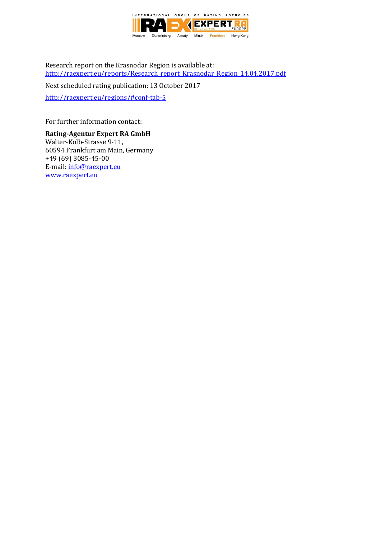

Research report on the Krasnodar Region is available at: [http://raexpert.eu/reports/Research\\_report\\_Krasnodar\\_Region\\_14.04.2017.pdf](http://raexpert.eu/reports/Research_report_Krasnodar_Region_14.04.2017.pdf)

Next scheduled rating publication: 13 October 2017

<http://raexpert.eu/regions/#conf-tab-5>

For further information contact:

**Rating-Agentur Expert RA GmbH** Walter-Kolb-Strasse 9-11, 60594 Frankfurt am Main, Germany +49 (69) 3085-45-00 E-mail[: info@raexpert.eu](mailto:info@raexpert.eu) [www.raexpert.eu](http://raexpert.eu/)